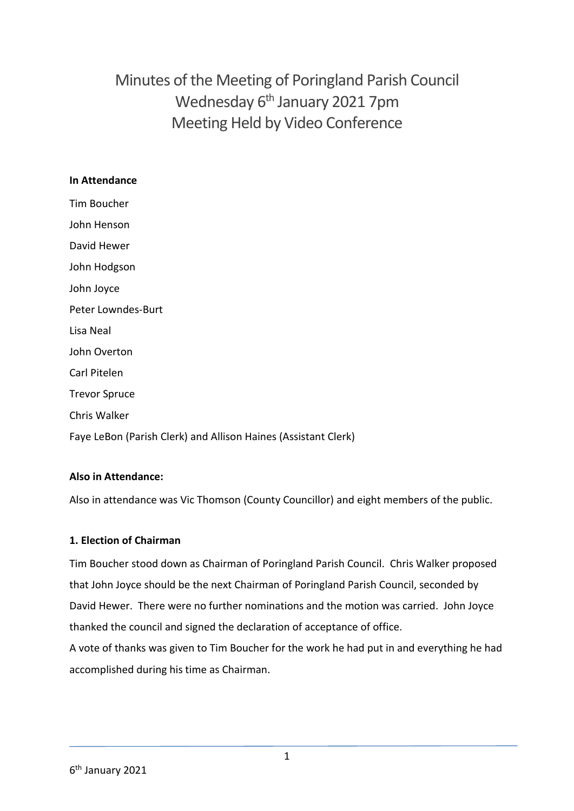Minutes of the Meeting of Poringland Parish Council Wednesday 6<sup>th</sup> January 2021 7pm Meeting Held by Video Conference

#### **In Attendance**

Tim Boucher John Henson David Hewer John Hodgson John Joyce Peter Lowndes-Burt Lisa Neal John Overton Carl Pitelen Trevor Spruce Chris Walker Faye LeBon (Parish Clerk) and Allison Haines (Assistant Clerk)

### **Also in Attendance:**

Also in attendance was Vic Thomson (County Councillor) and eight members of the public.

### **1. Election of Chairman**

Tim Boucher stood down as Chairman of Poringland Parish Council. Chris Walker proposed that John Joyce should be the next Chairman of Poringland Parish Council, seconded by David Hewer. There were no further nominations and the motion was carried. John Joyce thanked the council and signed the declaration of acceptance of office.

A vote of thanks was given to Tim Boucher for the work he had put in and everything he had accomplished during his time as Chairman.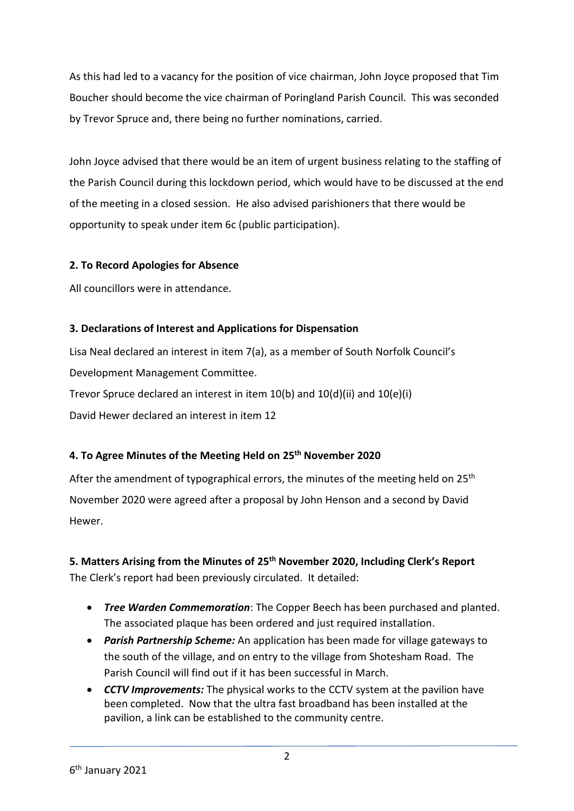As this had led to a vacancy for the position of vice chairman, John Joyce proposed that Tim Boucher should become the vice chairman of Poringland Parish Council. This was seconded by Trevor Spruce and, there being no further nominations, carried.

John Joyce advised that there would be an item of urgent business relating to the staffing of the Parish Council during this lockdown period, which would have to be discussed at the end of the meeting in a closed session. He also advised parishioners that there would be opportunity to speak under item 6c (public participation).

### **2. To Record Apologies for Absence**

All councillors were in attendance.

## **3. Declarations of Interest and Applications for Dispensation**

Lisa Neal declared an interest in item 7(a), as a member of South Norfolk Council's Development Management Committee. Trevor Spruce declared an interest in item 10(b) and 10(d)(ii) and 10(e)(i) David Hewer declared an interest in item 12

## **4. To Agree Minutes of the Meeting Held on 25th November 2020**

After the amendment of typographical errors, the minutes of the meeting held on 25<sup>th</sup> November 2020 were agreed after a proposal by John Henson and a second by David Hewer.

## **5. Matters Arising from the Minutes of 25th November 2020, Including Clerk's Report** The Clerk's report had been previously circulated. It detailed:

- *Tree Warden Commemoration*: The Copper Beech has been purchased and planted. The associated plaque has been ordered and just required installation.
- *Parish Partnership Scheme:* An application has been made for village gateways to the south of the village, and on entry to the village from Shotesham Road. The Parish Council will find out if it has been successful in March.
- *CCTV Improvements:* The physical works to the CCTV system at the pavilion have been completed. Now that the ultra fast broadband has been installed at the pavilion, a link can be established to the community centre.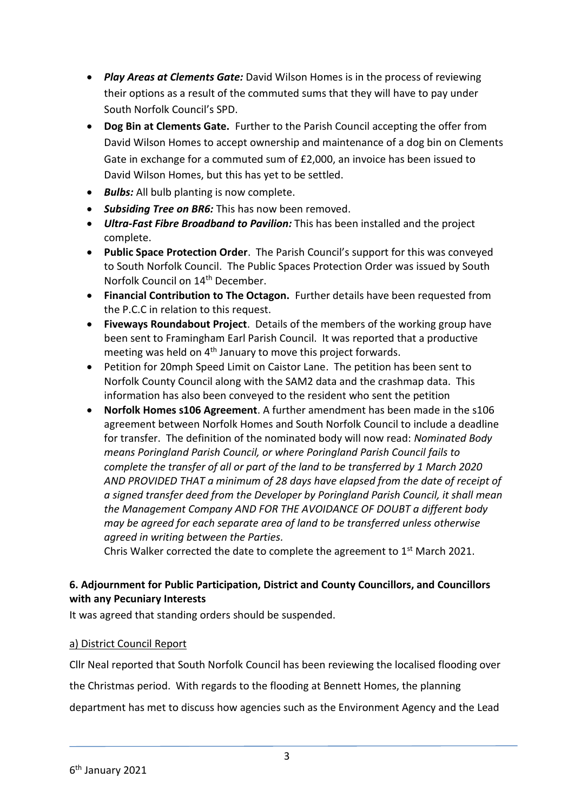- *Play Areas at Clements Gate:* David Wilson Homes is in the process of reviewing their options as a result of the commuted sums that they will have to pay under South Norfolk Council's SPD.
- **Dog Bin at Clements Gate.** Further to the Parish Council accepting the offer from David Wilson Homes to accept ownership and maintenance of a dog bin on Clements Gate in exchange for a commuted sum of £2,000, an invoice has been issued to David Wilson Homes, but this has yet to be settled.
- **Bulbs:** All bulb planting is now complete.
- *Subsiding Tree on BR6:* This has now been removed.
- *Ultra-Fast Fibre Broadband to Pavilion:* This has been installed and the project complete.
- **Public Space Protection Order**. The Parish Council's support for this was conveyed to South Norfolk Council. The Public Spaces Protection Order was issued by South Norfolk Council on 14<sup>th</sup> December.
- **Financial Contribution to The Octagon.** Further details have been requested from the P.C.C in relation to this request.
- **Fiveways Roundabout Project**. Details of the members of the working group have been sent to Framingham Earl Parish Council. It was reported that a productive meeting was held on 4th January to move this project forwards.
- Petition for 20mph Speed Limit on Caistor Lane. The petition has been sent to Norfolk County Council along with the SAM2 data and the crashmap data. This information has also been conveyed to the resident who sent the petition
- **Norfolk Homes s106 Agreement**. A further amendment has been made in the s106 agreement between Norfolk Homes and South Norfolk Council to include a deadline for transfer. The definition of the nominated body will now read: *Nominated Body means Poringland Parish Council, or where Poringland Parish Council fails to complete the transfer of all or part of the land to be transferred by 1 March 2020 AND PROVIDED THAT a minimum of 28 days have elapsed from the date of receipt of a signed transfer deed from the Developer by Poringland Parish Council, it shall mean the Management Company AND FOR THE AVOIDANCE OF DOUBT a different body may be agreed for each separate area of land to be transferred unless otherwise agreed in writing between the Parties.*

Chris Walker corrected the date to complete the agreement to  $1<sup>st</sup>$  March 2021.

#### **6. Adjournment for Public Participation, District and County Councillors, and Councillors with any Pecuniary Interests**

It was agreed that standing orders should be suspended.

#### a) District Council Report

Cllr Neal reported that South Norfolk Council has been reviewing the localised flooding over

the Christmas period. With regards to the flooding at Bennett Homes, the planning

department has met to discuss how agencies such as the Environment Agency and the Lead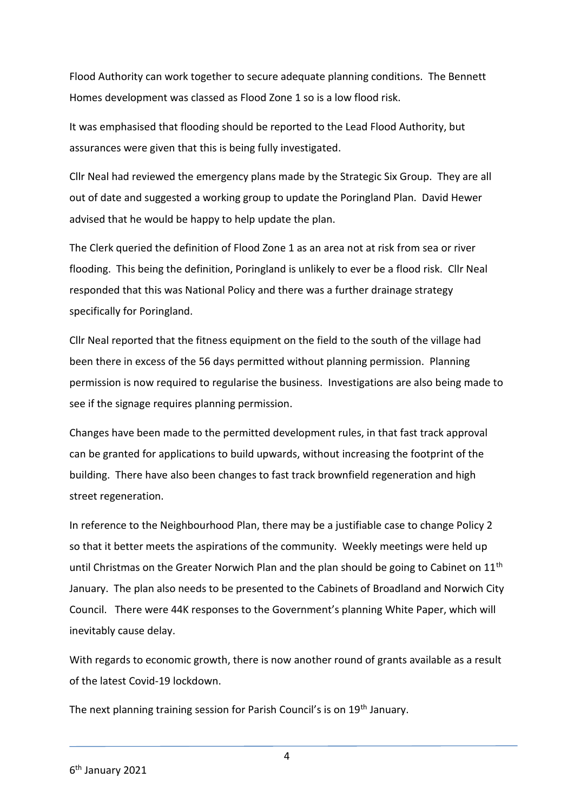Flood Authority can work together to secure adequate planning conditions. The Bennett Homes development was classed as Flood Zone 1 so is a low flood risk.

It was emphasised that flooding should be reported to the Lead Flood Authority, but assurances were given that this is being fully investigated.

Cllr Neal had reviewed the emergency plans made by the Strategic Six Group. They are all out of date and suggested a working group to update the Poringland Plan. David Hewer advised that he would be happy to help update the plan.

The Clerk queried the definition of Flood Zone 1 as an area not at risk from sea or river flooding. This being the definition, Poringland is unlikely to ever be a flood risk. Cllr Neal responded that this was National Policy and there was a further drainage strategy specifically for Poringland.

Cllr Neal reported that the fitness equipment on the field to the south of the village had been there in excess of the 56 days permitted without planning permission. Planning permission is now required to regularise the business. Investigations are also being made to see if the signage requires planning permission.

Changes have been made to the permitted development rules, in that fast track approval can be granted for applications to build upwards, without increasing the footprint of the building. There have also been changes to fast track brownfield regeneration and high street regeneration.

In reference to the Neighbourhood Plan, there may be a justifiable case to change Policy 2 so that it better meets the aspirations of the community. Weekly meetings were held up until Christmas on the Greater Norwich Plan and the plan should be going to Cabinet on  $11<sup>th</sup>$ January. The plan also needs to be presented to the Cabinets of Broadland and Norwich City Council. There were 44K responses to the Government's planning White Paper, which will inevitably cause delay.

With regards to economic growth, there is now another round of grants available as a result of the latest Covid-19 lockdown.

The next planning training session for Parish Council's is on 19<sup>th</sup> January.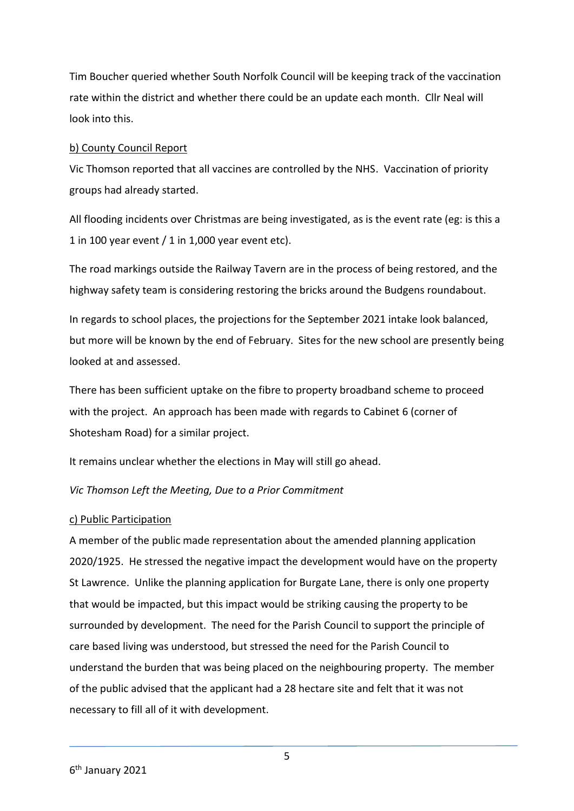Tim Boucher queried whether South Norfolk Council will be keeping track of the vaccination rate within the district and whether there could be an update each month. Cllr Neal will look into this.

#### b) County Council Report

Vic Thomson reported that all vaccines are controlled by the NHS. Vaccination of priority groups had already started.

All flooding incidents over Christmas are being investigated, as is the event rate (eg: is this a 1 in 100 year event / 1 in 1,000 year event etc).

The road markings outside the Railway Tavern are in the process of being restored, and the highway safety team is considering restoring the bricks around the Budgens roundabout.

In regards to school places, the projections for the September 2021 intake look balanced, but more will be known by the end of February. Sites for the new school are presently being looked at and assessed.

There has been sufficient uptake on the fibre to property broadband scheme to proceed with the project. An approach has been made with regards to Cabinet 6 (corner of Shotesham Road) for a similar project.

It remains unclear whether the elections in May will still go ahead.

#### *Vic Thomson Left the Meeting, Due to a Prior Commitment*

#### c) Public Participation

A member of the public made representation about the amended planning application 2020/1925. He stressed the negative impact the development would have on the property St Lawrence. Unlike the planning application for Burgate Lane, there is only one property that would be impacted, but this impact would be striking causing the property to be surrounded by development. The need for the Parish Council to support the principle of care based living was understood, but stressed the need for the Parish Council to understand the burden that was being placed on the neighbouring property. The member of the public advised that the applicant had a 28 hectare site and felt that it was not necessary to fill all of it with development.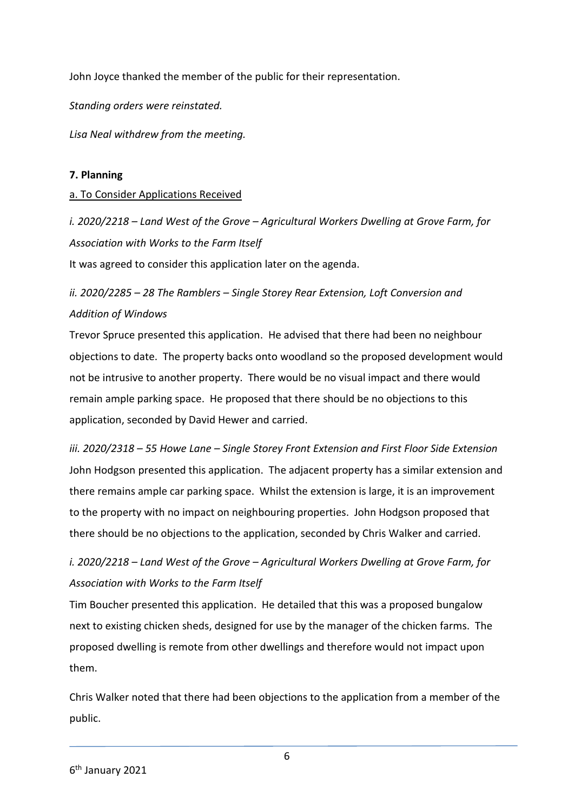John Joyce thanked the member of the public for their representation.

*Standing orders were reinstated.* 

*Lisa Neal withdrew from the meeting.* 

#### **7. Planning**

#### a. To Consider Applications Received

*i. 2020/2218 – Land West of the Grove – Agricultural Workers Dwelling at Grove Farm, for Association with Works to the Farm Itself*

It was agreed to consider this application later on the agenda.

# *ii. 2020/2285 – 28 The Ramblers – Single Storey Rear Extension, Loft Conversion and Addition of Windows*

Trevor Spruce presented this application. He advised that there had been no neighbour objections to date. The property backs onto woodland so the proposed development would not be intrusive to another property. There would be no visual impact and there would remain ample parking space. He proposed that there should be no objections to this application, seconded by David Hewer and carried.

*iii. 2020/2318 – 55 Howe Lane – Single Storey Front Extension and First Floor Side Extension* John Hodgson presented this application. The adjacent property has a similar extension and there remains ample car parking space. Whilst the extension is large, it is an improvement to the property with no impact on neighbouring properties. John Hodgson proposed that there should be no objections to the application, seconded by Chris Walker and carried.

# *i. 2020/2218 – Land West of the Grove – Agricultural Workers Dwelling at Grove Farm, for Association with Works to the Farm Itself*

Tim Boucher presented this application. He detailed that this was a proposed bungalow next to existing chicken sheds, designed for use by the manager of the chicken farms. The proposed dwelling is remote from other dwellings and therefore would not impact upon them.

Chris Walker noted that there had been objections to the application from a member of the public.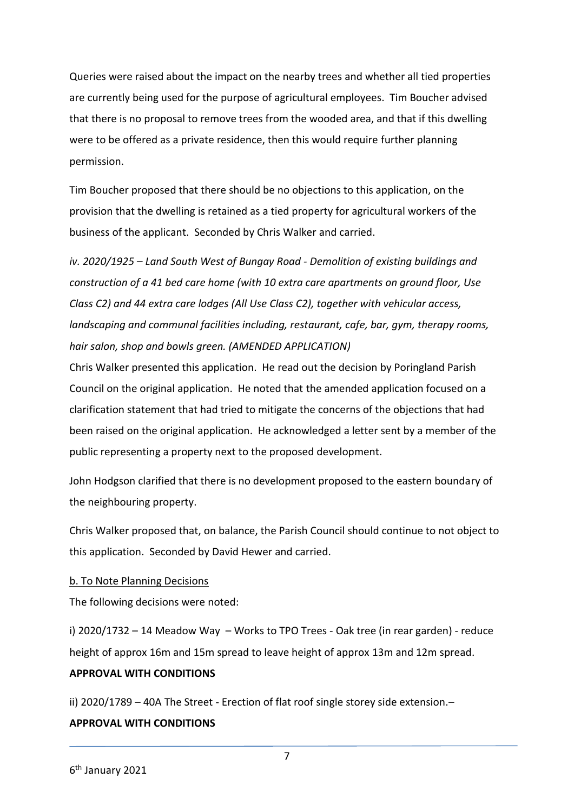Queries were raised about the impact on the nearby trees and whether all tied properties are currently being used for the purpose of agricultural employees. Tim Boucher advised that there is no proposal to remove trees from the wooded area, and that if this dwelling were to be offered as a private residence, then this would require further planning permission.

Tim Boucher proposed that there should be no objections to this application, on the provision that the dwelling is retained as a tied property for agricultural workers of the business of the applicant. Seconded by Chris Walker and carried.

*iv. 2020/1925 – Land South West of Bungay Road - Demolition of existing buildings and construction of a 41 bed care home (with 10 extra care apartments on ground floor, Use Class C2) and 44 extra care lodges (All Use Class C2), together with vehicular access, landscaping and communal facilities including, restaurant, cafe, bar, gym, therapy rooms, hair salon, shop and bowls green. (AMENDED APPLICATION)*

Chris Walker presented this application. He read out the decision by Poringland Parish Council on the original application. He noted that the amended application focused on a clarification statement that had tried to mitigate the concerns of the objections that had been raised on the original application. He acknowledged a letter sent by a member of the public representing a property next to the proposed development.

John Hodgson clarified that there is no development proposed to the eastern boundary of the neighbouring property.

Chris Walker proposed that, on balance, the Parish Council should continue to not object to this application. Seconded by David Hewer and carried.

#### b. To Note Planning Decisions

The following decisions were noted:

i) 2020/1732 – 14 Meadow Way – Works to TPO Trees - Oak tree (in rear garden) - reduce height of approx 16m and 15m spread to leave height of approx 13m and 12m spread.

#### **APPROVAL WITH CONDITIONS**

ii) 2020/1789 – 40A The Street - Erection of flat roof single storey side extension.–

#### **APPROVAL WITH CONDITIONS**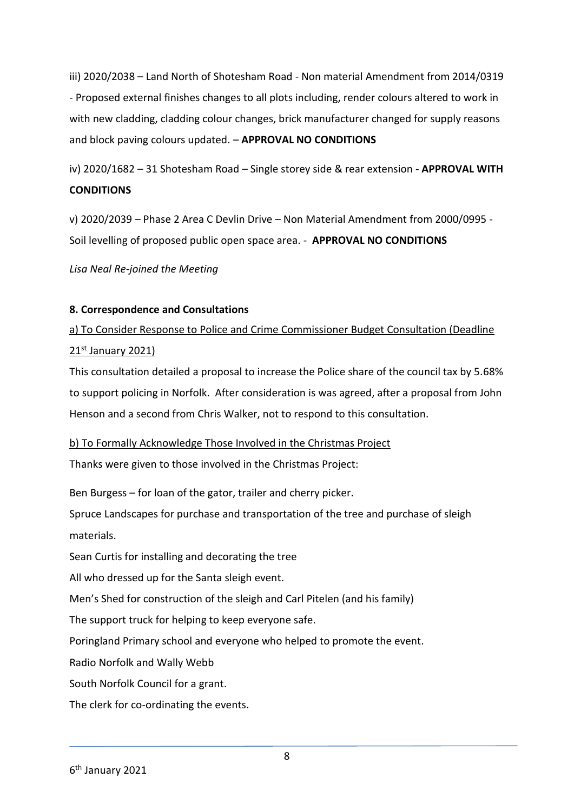iii) 2020/2038 – Land North of Shotesham Road - Non material Amendment from 2014/0319 - Proposed external finishes changes to all plots including, render colours altered to work in with new cladding, cladding colour changes, brick manufacturer changed for supply reasons and block paving colours updated. – **APPROVAL NO CONDITIONS**

iv) 2020/1682 – 31 Shotesham Road – Single storey side & rear extension - **APPROVAL WITH CONDITIONS**

v) 2020/2039 – Phase 2 Area C Devlin Drive – Non Material Amendment from 2000/0995 - Soil levelling of proposed public open space area. - **APPROVAL NO CONDITIONS**

*Lisa Neal Re-joined the Meeting*

#### **8. Correspondence and Consultations**

a) To Consider Response to Police and Crime Commissioner Budget Consultation (Deadline 21<sup>st</sup> January 2021)

This consultation detailed a proposal to increase the Police share of the council tax by 5.68% to support policing in Norfolk. After consideration is was agreed, after a proposal from John Henson and a second from Chris Walker, not to respond to this consultation.

#### b) To Formally Acknowledge Those Involved in the Christmas Project

Thanks were given to those involved in the Christmas Project:

Ben Burgess – for loan of the gator, trailer and cherry picker.

Spruce Landscapes for purchase and transportation of the tree and purchase of sleigh materials.

Sean Curtis for installing and decorating the tree

All who dressed up for the Santa sleigh event.

Men's Shed for construction of the sleigh and Carl Pitelen (and his family)

The support truck for helping to keep everyone safe.

Poringland Primary school and everyone who helped to promote the event.

Radio Norfolk and Wally Webb

South Norfolk Council for a grant.

The clerk for co-ordinating the events.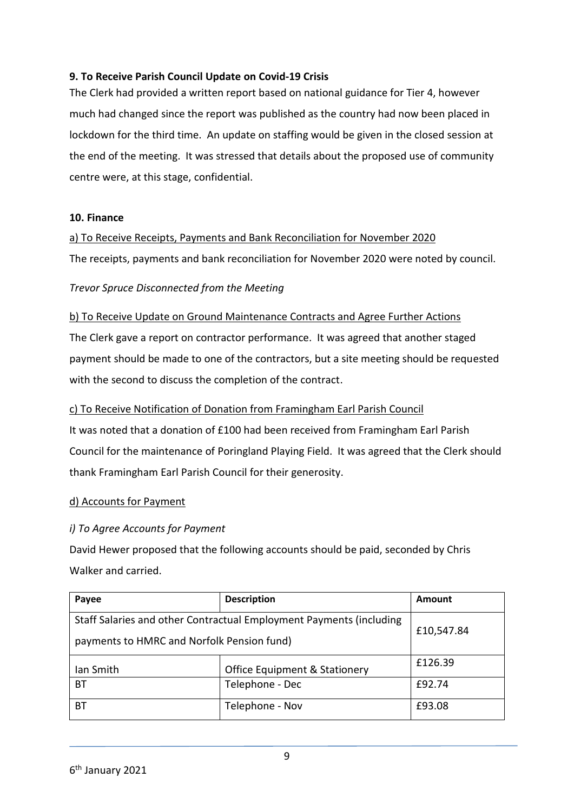#### **9. To Receive Parish Council Update on Covid-19 Crisis**

The Clerk had provided a written report based on national guidance for Tier 4, however much had changed since the report was published as the country had now been placed in lockdown for the third time. An update on staffing would be given in the closed session at the end of the meeting. It was stressed that details about the proposed use of community centre were, at this stage, confidential.

#### **10. Finance**

a) To Receive Receipts, Payments and Bank Reconciliation for November 2020

The receipts, payments and bank reconciliation for November 2020 were noted by council.

#### *Trevor Spruce Disconnected from the Meeting*

#### b) To Receive Update on Ground Maintenance Contracts and Agree Further Actions

The Clerk gave a report on contractor performance. It was agreed that another staged payment should be made to one of the contractors, but a site meeting should be requested with the second to discuss the completion of the contract.

#### c) To Receive Notification of Donation from Framingham Earl Parish Council

It was noted that a donation of £100 had been received from Framingham Earl Parish Council for the maintenance of Poringland Playing Field. It was agreed that the Clerk should thank Framingham Earl Parish Council for their generosity.

#### d) Accounts for Payment

#### *i) To Agree Accounts for Payment*

David Hewer proposed that the following accounts should be paid, seconded by Chris Walker and carried.

| Payee                                                                                                             | <b>Description</b>                       | <b>Amount</b> |
|-------------------------------------------------------------------------------------------------------------------|------------------------------------------|---------------|
| Staff Salaries and other Contractual Employment Payments (including<br>payments to HMRC and Norfolk Pension fund) |                                          | £10,547.84    |
| Ian Smith                                                                                                         | <b>Office Equipment &amp; Stationery</b> | £126.39       |
| ВT                                                                                                                | Telephone - Dec                          | £92.74        |
| ВT                                                                                                                | Telephone - Nov                          | £93.08        |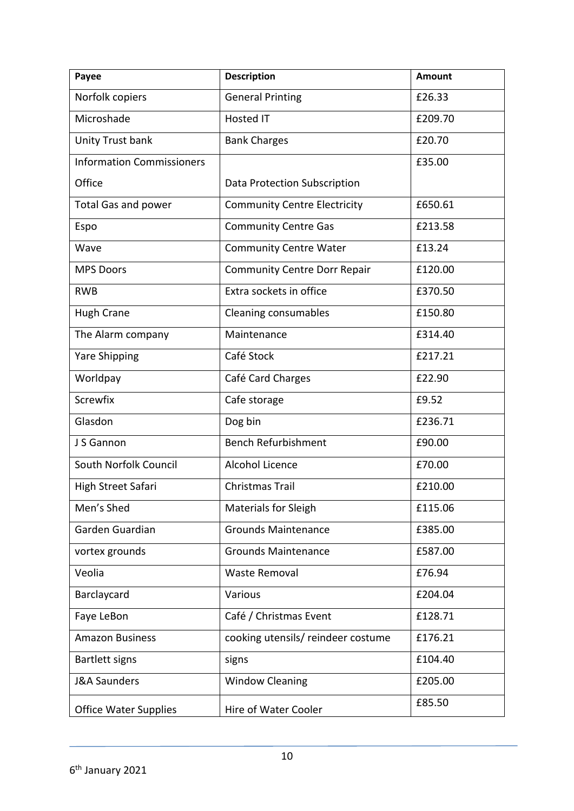| Payee                            | <b>Description</b>                  | <b>Amount</b> |
|----------------------------------|-------------------------------------|---------------|
| Norfolk copiers                  | <b>General Printing</b>             | £26.33        |
| Microshade                       | <b>Hosted IT</b>                    | £209.70       |
| Unity Trust bank                 | <b>Bank Charges</b>                 | £20.70        |
| <b>Information Commissioners</b> |                                     | £35.00        |
| Office                           | Data Protection Subscription        |               |
| <b>Total Gas and power</b>       | <b>Community Centre Electricity</b> | £650.61       |
| Espo                             | <b>Community Centre Gas</b>         | £213.58       |
| Wave                             | <b>Community Centre Water</b>       | £13.24        |
| <b>MPS Doors</b>                 | <b>Community Centre Dorr Repair</b> | £120.00       |
| <b>RWB</b>                       | Extra sockets in office             | £370.50       |
| <b>Hugh Crane</b>                | <b>Cleaning consumables</b>         | £150.80       |
| The Alarm company                | Maintenance                         | £314.40       |
| <b>Yare Shipping</b>             | Café Stock                          | £217.21       |
| Worldpay                         | Café Card Charges                   | £22.90        |
| Screwfix                         | Cafe storage                        | £9.52         |
| Glasdon                          | Dog bin                             | £236.71       |
| J S Gannon                       | <b>Bench Refurbishment</b>          | £90.00        |
| South Norfolk Council            | Alcohol Licence                     | £70.00        |
| High Street Safari               | <b>Christmas Trail</b>              | £210.00       |
| Men's Shed                       | Materials for Sleigh                | £115.06       |
| Garden Guardian                  | <b>Grounds Maintenance</b>          | £385.00       |
| vortex grounds                   | <b>Grounds Maintenance</b>          | £587.00       |
| Veolia                           | <b>Waste Removal</b>                | £76.94        |
| Barclaycard                      | Various                             | £204.04       |
| Faye LeBon                       | Café / Christmas Event              | £128.71       |
| <b>Amazon Business</b>           | cooking utensils/reindeer costume   | £176.21       |
| <b>Bartlett signs</b>            | signs                               | £104.40       |
| <b>J&amp;A Saunders</b>          | <b>Window Cleaning</b>              | £205.00       |
| <b>Office Water Supplies</b>     | Hire of Water Cooler                | £85.50        |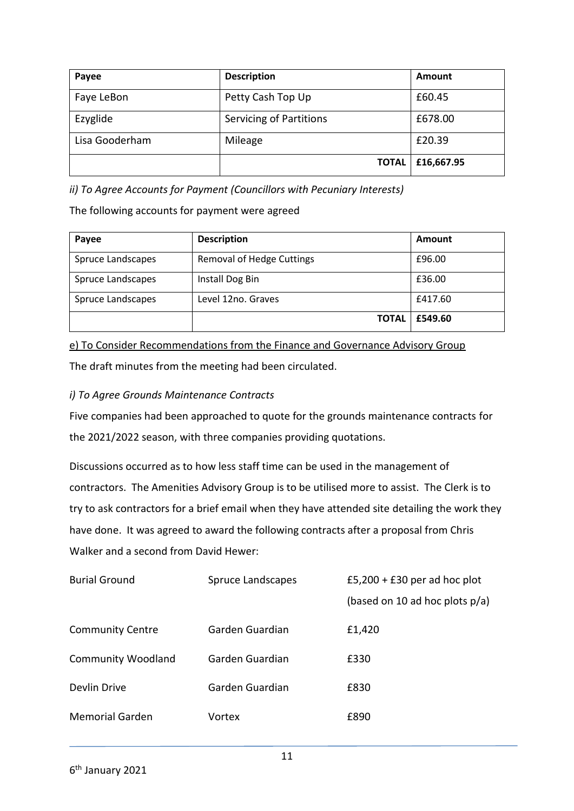| Payee          | <b>Description</b>             |              | Amount     |
|----------------|--------------------------------|--------------|------------|
| Faye LeBon     | Petty Cash Top Up              |              | £60.45     |
| Ezyglide       | <b>Servicing of Partitions</b> |              | £678.00    |
| Lisa Gooderham | Mileage                        |              | £20.39     |
|                |                                | <b>TOTAL</b> | £16,667.95 |

*ii) To Agree Accounts for Payment (Councillors with Pecuniary Interests)*

The following accounts for payment were agreed

| Payee             | <b>Description</b>               | Amount  |
|-------------------|----------------------------------|---------|
| Spruce Landscapes | <b>Removal of Hedge Cuttings</b> | £96.00  |
| Spruce Landscapes | Install Dog Bin                  | £36.00  |
| Spruce Landscapes | Level 12no. Graves               | £417.60 |
|                   | <b>TOTAL</b>                     | £549.60 |

e) To Consider Recommendations from the Finance and Governance Advisory Group The draft minutes from the meeting had been circulated.

### *i) To Agree Grounds Maintenance Contracts*

Five companies had been approached to quote for the grounds maintenance contracts for the 2021/2022 season, with three companies providing quotations.

Discussions occurred as to how less staff time can be used in the management of contractors. The Amenities Advisory Group is to be utilised more to assist. The Clerk is to try to ask contractors for a brief email when they have attended site detailing the work they have done. It was agreed to award the following contracts after a proposal from Chris Walker and a second from David Hewer:

| <b>Burial Ground</b>      | Spruce Landscapes | £5,200 + £30 per ad hoc plot      |  |
|---------------------------|-------------------|-----------------------------------|--|
|                           |                   | (based on 10 ad hoc plots $p/a$ ) |  |
| <b>Community Centre</b>   | Garden Guardian   | £1,420                            |  |
| <b>Community Woodland</b> | Garden Guardian   | £330                              |  |
| Devlin Drive              | Garden Guardian   | £830                              |  |
| <b>Memorial Garden</b>    | Vortex            | £890                              |  |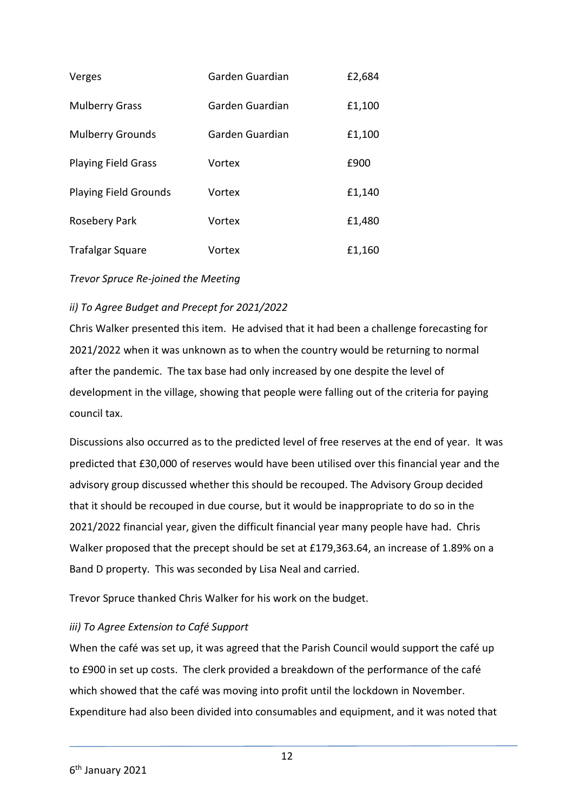| Verges                       | Garden Guardian | £2,684 |
|------------------------------|-----------------|--------|
| <b>Mulberry Grass</b>        | Garden Guardian | £1,100 |
| <b>Mulberry Grounds</b>      | Garden Guardian | £1,100 |
| <b>Playing Field Grass</b>   | Vortex          | £900   |
| <b>Playing Field Grounds</b> | Vortex          | £1,140 |
| Rosebery Park                | Vortex          | £1,480 |
| <b>Trafalgar Square</b>      | Vortex          | £1,160 |

*Trevor Spruce Re-joined the Meeting*

#### *ii) To Agree Budget and Precept for 2021/2022*

Chris Walker presented this item. He advised that it had been a challenge forecasting for 2021/2022 when it was unknown as to when the country would be returning to normal after the pandemic. The tax base had only increased by one despite the level of development in the village, showing that people were falling out of the criteria for paying council tax.

Discussions also occurred as to the predicted level of free reserves at the end of year. It was predicted that £30,000 of reserves would have been utilised over this financial year and the advisory group discussed whether this should be recouped. The Advisory Group decided that it should be recouped in due course, but it would be inappropriate to do so in the 2021/2022 financial year, given the difficult financial year many people have had. Chris Walker proposed that the precept should be set at £179,363.64, an increase of 1.89% on a Band D property. This was seconded by Lisa Neal and carried.

Trevor Spruce thanked Chris Walker for his work on the budget.

#### *iii) To Agree Extension to Café Support*

When the café was set up, it was agreed that the Parish Council would support the café up to £900 in set up costs. The clerk provided a breakdown of the performance of the café which showed that the café was moving into profit until the lockdown in November. Expenditure had also been divided into consumables and equipment, and it was noted that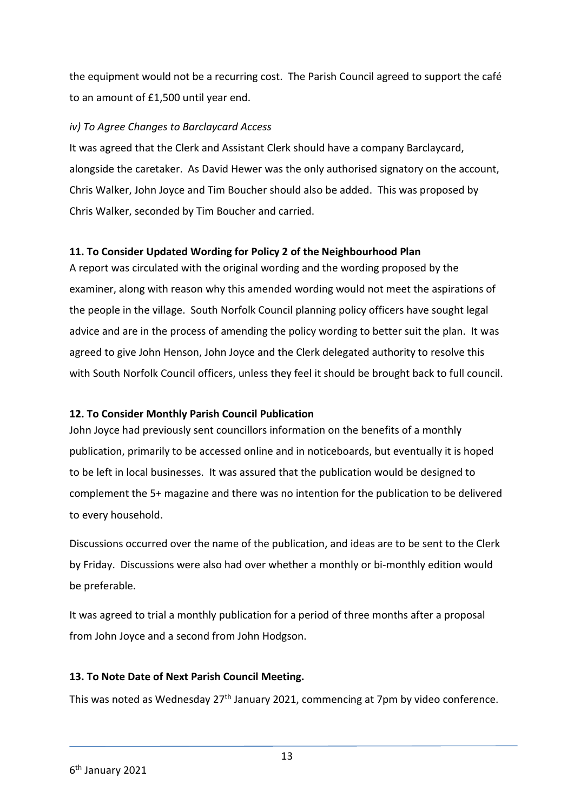the equipment would not be a recurring cost. The Parish Council agreed to support the café to an amount of £1,500 until year end.

#### *iv) To Agree Changes to Barclaycard Access*

It was agreed that the Clerk and Assistant Clerk should have a company Barclaycard, alongside the caretaker. As David Hewer was the only authorised signatory on the account, Chris Walker, John Joyce and Tim Boucher should also be added. This was proposed by Chris Walker, seconded by Tim Boucher and carried.

#### **11. To Consider Updated Wording for Policy 2 of the Neighbourhood Plan**

A report was circulated with the original wording and the wording proposed by the examiner, along with reason why this amended wording would not meet the aspirations of the people in the village. South Norfolk Council planning policy officers have sought legal advice and are in the process of amending the policy wording to better suit the plan. It was agreed to give John Henson, John Joyce and the Clerk delegated authority to resolve this with South Norfolk Council officers, unless they feel it should be brought back to full council.

### **12. To Consider Monthly Parish Council Publication**

John Joyce had previously sent councillors information on the benefits of a monthly publication, primarily to be accessed online and in noticeboards, but eventually it is hoped to be left in local businesses. It was assured that the publication would be designed to complement the 5+ magazine and there was no intention for the publication to be delivered to every household.

Discussions occurred over the name of the publication, and ideas are to be sent to the Clerk by Friday. Discussions were also had over whether a monthly or bi-monthly edition would be preferable.

It was agreed to trial a monthly publication for a period of three months after a proposal from John Joyce and a second from John Hodgson.

### **13. To Note Date of Next Parish Council Meeting.**

This was noted as Wednesday  $27<sup>th</sup>$  January 2021, commencing at 7pm by video conference.